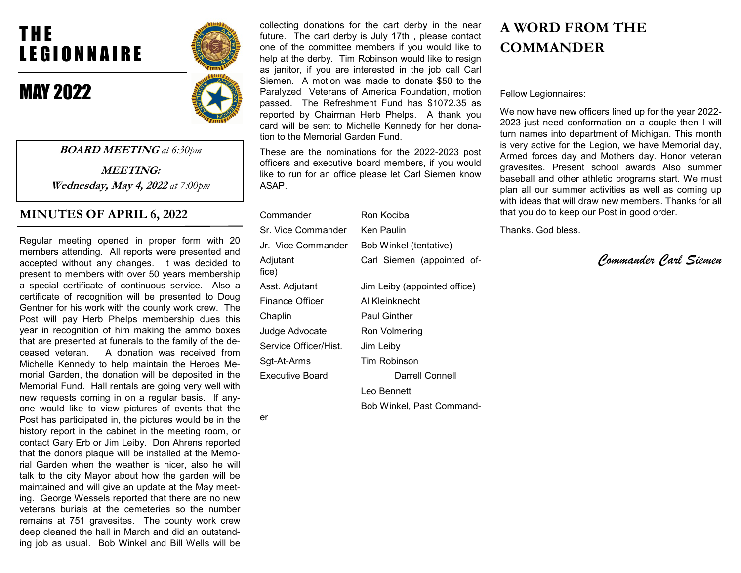# T H E LEGIONNAIRE

## MAY 2022



er

BOARD MEETING at 6:30pm

MEETING: Wednesday, May 4, 2022 at 7:00pm

## MINUTES OF APRIL 6, 2022

Regular meeting opened in proper form with 20 members attending. All reports were presented and accepted without any changes. It was decided to present to members with over 50 years membership a special certificate of continuous service. Also a certificate of recognition will be presented to Doug Gentner for his work with the county work crew. The Post will pay Herb Phelps membership dues this year in recognition of him making the ammo boxes that are presented at funerals to the family of the deceased veteran. A donation was received from Michelle Kennedy to help maintain the Heroes Memorial Garden, the donation will be deposited in the Memorial Fund. Hall rentals are going very well with new requests coming in on a regular basis. If anyone would like to view pictures of events that the Post has participated in, the pictures would be in the history report in the cabinet in the meeting room, or contact Gary Erb or Jim Leiby. Don Ahrens reported that the donors plaque will be installed at the Memorial Garden when the weather is nicer, also he will talk to the city Mayor about how the garden will be maintained and will give an update at the May meeting. George Wessels reported that there are no new veterans burials at the cemeteries so the number remains at 751 gravesites. The county work crew deep cleaned the hall in March and did an outstanding job as usual. Bob Winkel and Bill Wells will be collecting donations for the cart derby in the near future. The cart derby is July 17th , please contact one of the committee members if you would like to help at the derby. Tim Robinson would like to resign as janitor, if you are interested in the job call Carl Siemen. A motion was made to donate \$50 to the Paralyzed Veterans of America Foundation, motion passed. The Refreshment Fund has \$1072.35 as reported by Chairman Herb Phelps. A thank you card will be sent to Michelle Kennedy for her donation to the Memorial Garden Fund.

These are the nominations for the 2022-2023 post officers and executive board members, if you would like to run for an office please let Carl Siemen know ASAP.

| Commander              | Ron Kociba                   |
|------------------------|------------------------------|
| Sr. Vice Commander     | Ken Paulin                   |
| Jr. Vice Commander     | Bob Winkel (tentative)       |
| Adjutant<br>fice)      | Carl Siemen (appointed of-   |
| Asst. Adjutant         | Jim Leiby (appointed office) |
| <b>Finance Officer</b> | Al Kleinknecht               |
| Chaplin                | <b>Paul Ginther</b>          |
| Judge Advocate         | Ron Volmering                |
| Service Officer/Hist.  | Jim Leiby                    |
| Sgt-At-Arms            | Tim Robinson                 |
| <b>Executive Board</b> | Darrell Connell              |
|                        | Leo Bennett                  |
|                        | Bob Winkel, Past Command-    |

## A WORD FROM THE **COMMANDER**

Fellow Legionnaires:

We now have new officers lined up for the year 2022- 2023 just need conformation on a couple then I will turn names into department of Michigan. This month is very active for the Legion, we have Memorial day, Armed forces day and Mothers day. Honor veteran gravesites. Present school awards Also summer baseball and other athletic programs start. We must plan all our summer activities as well as coming up with ideas that will draw new members. Thanks for all that you do to keep our Post in good order.

Thanks. God bless.

Commander Carl Siemen